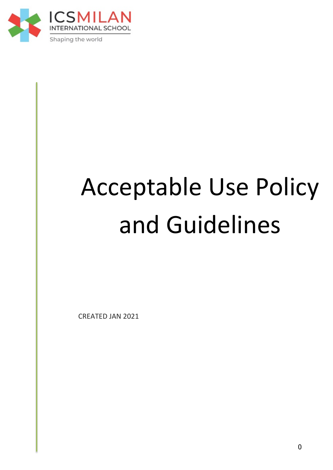

# Acceptable Use Policy and Guidelines

CREATED JAN 2021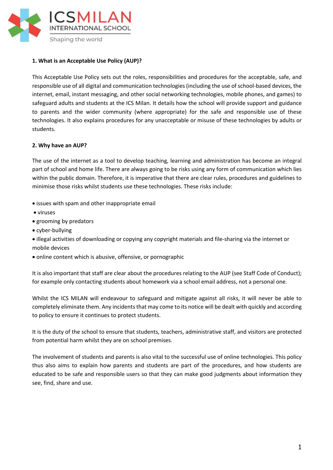

# **1. What is an Acceptable Use Policy (AUP)?**

This Acceptable Use Policy sets out the roles, responsibilities and procedures for the acceptable, safe, and responsible use of all digital and communication technologies (including the use of school-based devices, the internet, email, instant messaging, and other social networking technologies, mobile phones, and games) to safeguard adults and students at the ICS Milan. It details how the school will provide support and guidance to parents and the wider community (where appropriate) for the safe and responsible use of these technologies. It also explains procedures for any unacceptable or misuse of these technologies by adults or students.

# **2. Why have an AUP?**

The use of the internet as a tool to develop teaching, learning and administration has become an integral part of school and home life. There are always going to be risks using any form of communication which lies within the public domain. Therefore, it is imperative that there are clear rules, procedures and guidelines to minimise those risks whilst students use these technologies. These risks include:

- issues with spam and other inappropriate email
- viruses
- grooming by predators
- cyber-bullying

• illegal activities of downloading or copying any copyright materials and file-sharing via the internet or mobile devices

• online content which is abusive, offensive, or pornographic

It is also important that staff are clear about the procedures relating to the AUP (see Staff Code of Conduct); for example only contacting students about homework via a school email address, not a personal one.

Whilst the ICS MILAN will endeavour to safeguard and mitigate against all risks, it will never be able to completely eliminate them. Any incidents that may come to its notice will be dealt with quickly and according to policy to ensure it continues to protect students.

It is the duty of the school to ensure that students, teachers, administrative staff, and visitors are protected from potential harm whilst they are on school premises.

The involvement of students and parents is also vital to the successful use of online technologies. This policy thus also aims to explain how parents and students are part of the procedures, and how students are educated to be safe and responsible users so that they can make good judgments about information they see, find, share and use.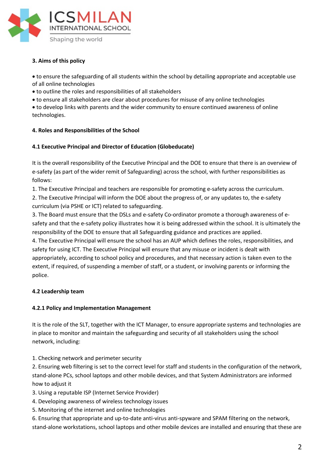

# **3. Aims of this policy**

• to ensure the safeguarding of all students within the school by detailing appropriate and acceptable use of all online technologies

- to outline the roles and responsibilities of all stakeholders
- to ensure all stakeholders are clear about procedures for misuse of any online technologies

• to develop links with parents and the wider community to ensure continued awareness of online technologies.

# **4. Roles and Responsibilities of the School**

# **4.1 Executive Principal and Director of Education (Globeducate)**

It is the overall responsibility of the Executive Principal and the DOE to ensure that there is an overview of e-safety (as part of the wider remit of Safeguarding) across the school, with further responsibilities as follows:

1. The Executive Principal and teachers are responsible for promoting e-safety across the curriculum.

2. The Executive Principal will inform the DOE about the progress of, or any updates to, the e-safety curriculum (via PSHE or ICT) related to safeguarding.

3. The Board must ensure that the DSLs and e-safety Co-ordinator promote a thorough awareness of esafety and that the e-safety policy illustrates how it is being addressed within the school. It is ultimately the responsibility of the DOE to ensure that all Safeguarding guidance and practices are applied.

4. The Executive Principal will ensure the school has an AUP which defines the roles, responsibilities, and safety for using ICT. The Executive Principal will ensure that any misuse or incident is dealt with appropriately, according to school policy and procedures, and that necessary action is taken even to the extent, if required, of suspending a member of staff, or a student, or involving parents or informing the police.

# **4.2 Leadership team**

# **4.2.1 Policy and Implementation Management**

It is the role of the SLT, together with the ICT Manager, to ensure appropriate systems and technologies are in place to monitor and maintain the safeguarding and security of all stakeholders using the school network, including:

1. Checking network and perimeter security

2. Ensuring web filtering is set to the correct level for staff and students in the configuration of the network, stand-alone PCs, school laptops and other mobile devices, and that System Administrators are informed how to adjust it

- 3. Using a reputable ISP (Internet Service Provider)
- 4. Developing awareness of wireless technology issues
- 5. Monitoring of the internet and online technologies

6. Ensuring that appropriate and up-to-date anti-virus anti-spyware and SPAM filtering on the network, stand-alone workstations, school laptops and other mobile devices are installed and ensuring that these are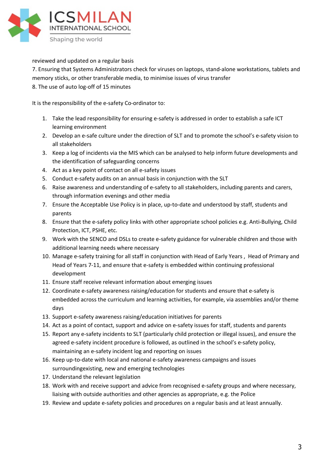

reviewed and updated on a regular basis

7. Ensuring that Systems Administrators check for viruses on laptops, stand-alone workstations, tablets and memory sticks, or other transferable media, to minimise issues of virus transfer

8. The use of auto log-off of 15 minutes

It is the responsibility of the e-safety Co-ordinator to:

- 1. Take the lead responsibility for ensuring e-safety is addressed in order to establish a safe ICT learning environment
- 2. Develop an e-safe culture under the direction of SLT and to promote the school's e-safety vision to all stakeholders
- 3. Keep a log of incidents via the MIS which can be analysed to help inform future developments and the identification of safeguarding concerns
- 4. Act as a key point of contact on all e-safety issues
- 5. Conduct e-safety audits on an annual basis in conjunction with the SLT
- 6. Raise awareness and understanding of e-safety to all stakeholders, including parents and carers, through information evenings and other media
- 7. Ensure the Acceptable Use Policy is in place, up-to-date and understood by staff, students and parents
- 8. Ensure that the e-safety policy links with other appropriate school policies e.g. Anti-Bullying, Child Protection, ICT, PSHE, etc.
- 9. Work with the SENCO and DSLs to create e-safety guidance for vulnerable children and those with additional learning needs where necessary
- 10. Manage e-safety training for all staff in conjunction with Head of Early Years , Head of Primary and Head of Years 7-11, and ensure that e-safety is embedded within continuing professional development
- 11. Ensure staff receive relevant information about emerging issues
- 12. Coordinate e-safety awareness raising/education for students and ensure that e-safety is embedded across the curriculum and learning activities, for example, via assemblies and/or theme days
- 13. Support e-safety awareness raising/education initiatives for parents
- 14. Act as a point of contact, support and advice on e-safety issues for staff, students and parents
- 15. Report any e-safety incidents to SLT (particularly child protection or illegal issues), and ensure the agreed e-safety incident procedure is followed, as outlined in the school's e-safety policy, maintaining an e-safety incident log and reporting on issues
- 16. Keep up-to-date with local and national e-safety awareness campaigns and issues surroundingexisting, new and emerging technologies
- 17. Understand the relevant legislation
- 18. Work with and receive support and advice from recognised e-safety groups and where necessary, liaising with outside authorities and other agencies as appropriate, e.g. the Police
- 19. Review and update e-safety policies and procedures on a regular basis and at least annually.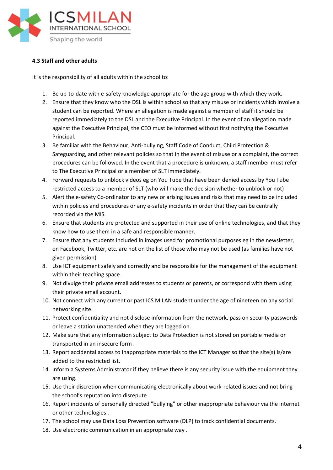

# **4.3 Staff and other adults**

It is the responsibility of all adults within the school to:

- 1. Be up-to-date with e-safety knowledge appropriate for the age group with which they work.
- 2. Ensure that they know who the DSL is within school so that any misuse or incidents which involve a student can be reported. Where an allegation is made against a member of staff it should be reported immediately to the DSL and the Executive Principal. In the event of an allegation made against the Executive Principal, the CEO must be informed without first notifying the Executive Principal.
- 3. Be familiar with the Behaviour, Anti-bullying, Staff Code of Conduct, Child Protection & Safeguarding, and other relevant policies so that in the event of misuse or a complaint, the correct procedures can be followed. In the event that a procedure is unknown, a staff member must refer to The Executive Principal or a member of SLT immediately.
- 4. Forward requests to unblock videos eg on You Tube that have been denied access by You Tube restricted access to a member of SLT (who will make the decision whether to unblock or not)
- 5. Alert the e-safety Co-ordinator to any new or arising issues and risks that may need to be included within policies and procedures or any e-safety incidents in order that they can be centrally recorded via the MIS.
- 6. Ensure that students are protected and supported in their use of online technologies, and that they know how to use them in a safe and responsible manner.
- 7. Ensure that any students included in images used for promotional purposes eg in the newsletter, on Facebook, Twitter, etc. are not on the list of those who may not be used (as families have not given permission)
- 8. Use ICT equipment safely and correctly and be responsible for the management of the equipment within their teaching space.
- 9. Not divulge their private email addresses to students or parents, or correspond with them using their private email account.
- 10. Not connect with any current or past ICS MILAN student under the age of nineteen on any social networking site.
- 11. Protect confidentiality and not disclose information from the network, pass on security passwords or leave a station unattended when they are logged on.
- 12. Make sure that any information subject to Data Protection is not stored on portable media or transported in an insecure form .
- 13. Report accidental access to inappropriate materials to the ICT Manager so that the site(s) is/are added to the restricted list.
- 14. Inform a Systems Administrator if they believe there is any security issue with the equipment they are using.
- 15. Use their discretion when communicating electronically about work-related issues and not bring the school's reputation into disrepute .
- 16. Report incidents of personally directed "bullying" or other inappropriate behaviour via the internet or other technologies .
- 17. The school may use Data Loss Prevention software (DLP) to track confidential documents.
- 18. Use electronic communication in an appropriate way .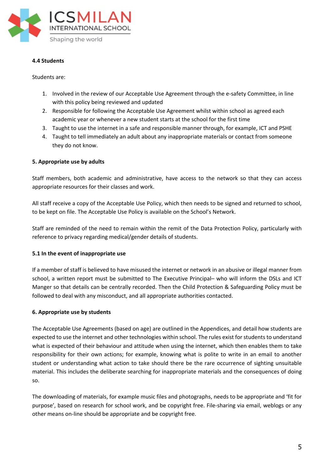

# **4.4 Students**

Students are:

- 1. Involved in the review of our Acceptable Use Agreement through the e-safety Committee, in line with this policy being reviewed and updated
- 2. Responsible for following the Acceptable Use Agreement whilst within school as agreed each academic year or whenever a new student starts at the school for the first time
- 3. Taught to use the internet in a safe and responsible manner through, for example, ICT and PSHE
- 4. Taught to tell immediately an adult about any inappropriate materials or contact from someone they do not know.

#### **5. Appropriate use by adults**

Staff members, both academic and administrative, have access to the network so that they can access appropriate resources for their classes and work.

All staff receive a copy of the Acceptable Use Policy, which then needs to be signed and returned to school, to be kept on file. The Acceptable Use Policy is available on the School's Network.

Staff are reminded of the need to remain within the remit of the Data Protection Policy, particularly with reference to privacy regarding medical/gender details of students.

# **5.1 In the event of inappropriate use**

If a member of staff is believed to have misused the internet or network in an abusive or illegal manner from school, a written report must be submitted to The Executive Principal– who will inform the DSLs and ICT Manger so that details can be centrally recorded. Then the Child Protection & Safeguarding Policy must be followed to deal with any misconduct, and all appropriate authorities contacted.

# **6. Appropriate use by students**

The Acceptable Use Agreements (based on age) are outlined in the Appendices, and detail how students are expected to use the internet and other technologies within school. The rules exist for students to understand what is expected of their behaviour and attitude when using the internet, which then enables them to take responsibility for their own actions; for example, knowing what is polite to write in an email to another student or understanding what action to take should there be the rare occurrence of sighting unsuitable material. This includes the deliberate searching for inappropriate materials and the consequences of doing so.

The downloading of materials, for example music files and photographs, needs to be appropriate and 'fit for purpose', based on research for school work, and be copyright free. File-sharing via email, weblogs or any other means on-line should be appropriate and be copyright free.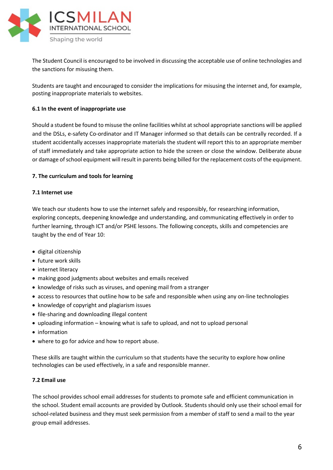

The Student Council is encouraged to be involved in discussing the acceptable use of online technologies and the sanctions for misusing them.

Students are taught and encouraged to consider the implications for misusing the internet and, for example, posting inappropriate materials to websites.

# **6.1 In the event of inappropriate use**

Should a student be found to misuse the online facilities whilst at school appropriate sanctions will be applied and the DSLs, e-safety Co-ordinator and IT Manager informed so that details can be centrally recorded. If a student accidentally accesses inappropriate materials the student will report this to an appropriate member of staff immediately and take appropriate action to hide the screen or close the window. Deliberate abuse or damage of school equipment will result in parents being billed for the replacement costs of the equipment.

#### **7. The curriculum and tools for learning**

#### **7.1 Internet use**

We teach our students how to use the internet safely and responsibly, for researching information, exploring concepts, deepening knowledge and understanding, and communicating effectively in order to further learning, through ICT and/or PSHE lessons. The following concepts, skills and competencies are taught by the end of Year 10:

- digital citizenship
- future work skills
- internet literacy
- making good judgments about websites and emails received
- knowledge of risks such as viruses, and opening mail from a stranger
- access to resources that outline how to be safe and responsible when using any on-line technologies
- knowledge of copyright and plagiarism issues
- file-sharing and downloading illegal content
- uploading information knowing what is safe to upload, and not to upload personal
- information
- where to go for advice and how to report abuse.

These skills are taught within the curriculum so that students have the security to explore how online technologies can be used effectively, in a safe and responsible manner.

#### **7.2 Email use**

The school provides school email addresses for students to promote safe and efficient communication in the school. Student email accounts are provided by Outlook. Students should only use their school email for school-related business and they must seek permission from a member of staff to send a mail to the year group email addresses.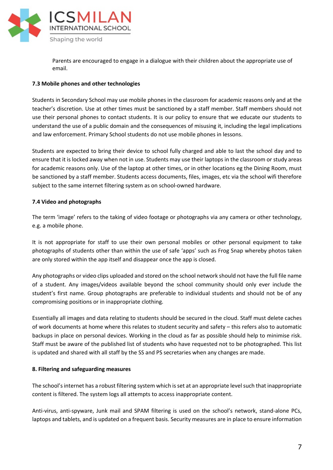

Parents are encouraged to engage in a dialogue with their children about the appropriate use of email.

#### **7.3 Mobile phones and other technologies**

Students in Secondary School may use mobile phones in the classroom for academic reasons only and at the teacher's discretion. Use at other times must be sanctioned by a staff member. Staff members should not use their personal phones to contact students. It is our policy to ensure that we educate our students to understand the use of a public domain and the consequences of misusing it, including the legal implications and law enforcement. Primary School students do not use mobile phones in lessons.

Students are expected to bring their device to school fully charged and able to last the school day and to ensure that it is locked away when not in use. Students may use their laptops in the classroom or study areas for academic reasons only. Use of the laptop at other times, or in other locations eg the Dining Room, must be sanctioned by a staff member. Students access documents, files, images, etc via the school wifi therefore subject to the same internet filtering system as on school-owned hardware.

#### **7.4 Video and photographs**

The term 'image' refers to the taking of video footage or photographs via any camera or other technology, e.g. a mobile phone.

It is not appropriate for staff to use their own personal mobiles or other personal equipment to take photographs of students other than within the use of safe 'apps' such as Frog Snap whereby photos taken are only stored within the app itself and disappear once the app is closed.

Any photographs or video clips uploaded and stored on the school network should not have the full file name of a student. Any images/videos available beyond the school community should only ever include the student's first name. Group photographs are preferable to individual students and should not be of any compromising positions or in inappropriate clothing.

Essentially all images and data relating to students should be secured in the cloud. Staff must delete caches of work documents at home where this relates to student security and safety – this refers also to automatic backups in place on personal devices. Working in the cloud as far as possible should help to minimise risk. Staff must be aware of the published list of students who have requested not to be photographed. This list is updated and shared with all staff by the SS and PS secretaries when any changes are made.

# **8. Filtering and safeguarding measures**

The school's internet has a robust filtering system which is set at an appropriate level such that inappropriate content is filtered. The system logs all attempts to access inappropriate content.

Anti-virus, anti-spyware, Junk mail and SPAM filtering is used on the school's network, stand-alone PCs, laptops and tablets, and is updated on a frequent basis. Security measures are in place to ensure information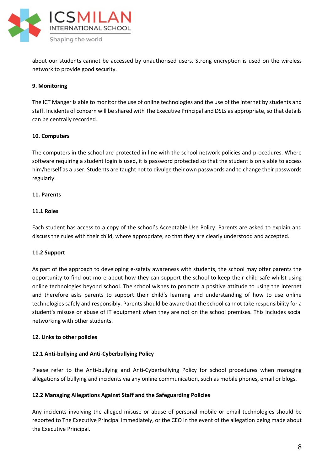

about our students cannot be accessed by unauthorised users. Strong encryption is used on the wireless network to provide good security.

# **9. Monitoring**

The ICT Manger is able to monitor the use of online technologies and the use of the internet by students and staff. Incidents of concern will be shared with The Executive Principal and DSLs as appropriate, so that details can be centrally recorded.

#### **10. Computers**

The computers in the school are protected in line with the school network policies and procedures. Where software requiring a student login is used, it is password protected so that the student is only able to access him/herself as a user. Students are taught not to divulge their own passwords and to change their passwords regularly.

#### **11. Parents**

#### **11.1 Roles**

Each student has access to a copy of the school's Acceptable Use Policy. Parents are asked to explain and discuss the rules with their child, where appropriate, so that they are clearly understood and accepted.

#### **11.2 Support**

As part of the approach to developing e-safety awareness with students, the school may offer parents the opportunity to find out more about how they can support the school to keep their child safe whilst using online technologies beyond school. The school wishes to promote a positive attitude to using the internet and therefore asks parents to support their child's learning and understanding of how to use online technologies safely and responsibly. Parents should be aware that the school cannot take responsibility for a student's misuse or abuse of IT equipment when they are not on the school premises. This includes social networking with other students.

#### **12. Links to other policies**

#### **12.1 Anti-bullying and Anti-Cyberbullying Policy**

Please refer to the Anti-bullying and Anti-Cyberbullying Policy for school procedures when managing allegations of bullying and incidents via any online communication, such as mobile phones, email or blogs.

#### **12.2 Managing Allegations Against Staff and the Safeguarding Policies**

Any incidents involving the alleged misuse or abuse of personal mobile or email technologies should be reported to The Executive Principal immediately, or the CEO in the event of the allegation being made about the Executive Principal.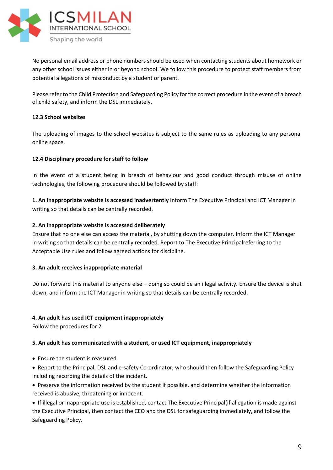

No personal email address or phone numbers should be used when contacting students about homework or any other school issues either in or beyond school. We follow this procedure to protect staff members from potential allegations of misconduct by a student or parent.

Please refer to the Child Protection and Safeguarding Policy for the correct procedure in the event of a breach of child safety, and inform the DSL immediately.

# **12.3 School websites**

The uploading of images to the school websites is subject to the same rules as uploading to any personal online space.

#### **12.4 Disciplinary procedure for staff to follow**

In the event of a student being in breach of behaviour and good conduct through misuse of online technologies, the following procedure should be followed by staff:

**1. An inappropriate website is accessed inadvertently** Inform The Executive Principal and ICT Manager in writing so that details can be centrally recorded.

#### **2. An inappropriate website is accessed deliberately**

Ensure that no one else can access the material, by shutting down the computer. Inform the ICT Manager in writing so that details can be centrally recorded. Report to The Executive Principalreferring to the Acceptable Use rules and follow agreed actions for discipline.

#### **3. An adult receives inappropriate material**

Do not forward this material to anyone else – doing so could be an illegal activity. Ensure the device is shut down, and inform the ICT Manager in writing so that details can be centrally recorded.

#### **4. An adult has used ICT equipment inappropriately**

Follow the procedures for 2.

# **5. An adult has communicated with a student, or used ICT equipment, inappropriately**

- Ensure the student is reassured.
- Report to the Principal, DSL and e-safety Co-ordinator, who should then follow the Safeguarding Policy including recording the details of the incident.
- Preserve the information received by the student if possible, and determine whether the information received is abusive, threatening or innocent.

• If illegal or inappropriate use is established, contact The Executive Principal(if allegation is made against the Executive Principal, then contact the CEO and the DSL for safeguarding immediately, and follow the Safeguarding Policy.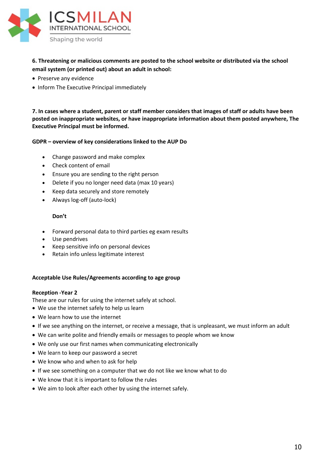

# **6. Threatening or malicious comments are posted to the school website or distributed via the school email system (or printed out) about an adult in school:**

- Preserve any evidence
- Inform The Executive Principal immediately

**7. In cases where a student, parent or staff member considers that images of staff or adults have been posted on inappropriate websites, or have inappropriate information about them posted anywhere, The Executive Principal must be informed.** 

#### **GDPR – overview of key considerations linked to the AUP Do**

- Change password and make complex
- Check content of email
- Ensure you are sending to the right person
- Delete if you no longer need data (max 10 years)
- Keep data securely and store remotely
- Always log-off (auto-lock)

#### **Don't**

- Forward personal data to third parties eg exam results
- Use pendrives
- Keep sensitive info on personal devices
- Retain info unless legitimate interest

#### **Acceptable Use Rules/Agreements according to age group**

#### **Reception -Year 2**

These are our rules for using the internet safely at school.

- We use the internet safely to help us learn
- We learn how to use the internet
- If we see anything on the internet, or receive a message, that is unpleasant, we must inform an adult
- We can write polite and friendly emails or messages to people whom we know
- We only use our first names when communicating electronically
- We learn to keep our password a secret
- We know who and when to ask for help
- If we see something on a computer that we do not like we know what to do
- We know that it is important to follow the rules
- We aim to look after each other by using the internet safely.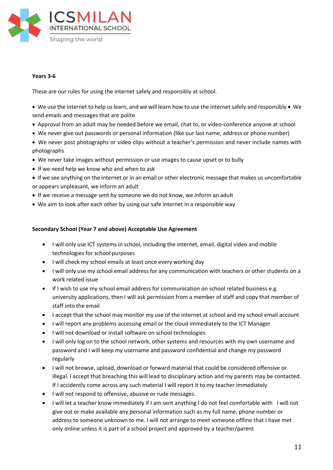

# **Years 3-6**

These are our rules for using the internet safely and responsibly at school.

- We use the internet to help us learn, and we will learn how to use the internet safely and responsibly We send emails and messages that are polite
- Approval from an adult may be needed before we email, chat to, or video-conference anyone at school
- We never give out passwords or personal information (like our last name, address or phone number)
- We never post photographs or video clips without a teacher's permission and never include names with photographs
- We never take images without permission or use images to cause upset or to bully
- If we need help we know who and when to ask
- If we see anything on the internet or in an email or other electronic message that makes us uncomfortable or appears unpleasant, we inform an adult
- If we receive a message sent by someone we do not know, we inform an adult
- We aim to look after each other by using our safe internet in a responsible way

#### **Secondary School (Year 7 and above) Acceptable Use Agreement**

- I will only use ICT systems in school, including the internet, email, digital video and mobile technologies for school purposes
- I will check my school emails at least once every working day
- I will only use my school email address for any communication with teachers or other students on a work related issue
- If I wish to use my school email address for communication on school related business e.g. university applications, then I will ask permission from a member of staff and copy that member of staff into the email
- I accept that the school may monitor my use of the internet at school and my school email account
- I will report any problems accessing email or the cloud immediately to the ICT Manager
- I will not download or install software on school technologies
- I will only log on to the school network, other systems and resources with my own username and password and I will keep my username and password confidential and change my password regularly
- I will not browse, upload, download or forward material that could be considered offensive or illegal. I accept that breaching this will lead to disciplinary action and my parents may be contacted. If I accidently come across any such material I will report it to my teacher immediately
- I will not respond to offensive, abusive or rude messages.
- I will let a teacher know immediately if I am sent anything I do not feel comfortable with I will not give out or make available any personal information such as my full name, phone number or address to someone unknown to me. I will not arrange to meet someone offline that I have met only online unless it is part of a school project and approved by a teacher/parent